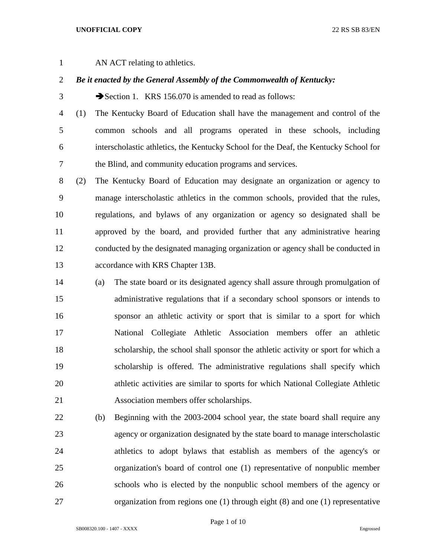## **UNOFFICIAL COPY** 22 RS SB 83/EN

AN ACT relating to athletics.

## *Be it enacted by the General Assembly of the Commonwealth of Kentucky:*

3 Section 1. KRS 156.070 is amended to read as follows:

 (1) The Kentucky Board of Education shall have the management and control of the common schools and all programs operated in these schools, including interscholastic athletics, the Kentucky School for the Deaf, the Kentucky School for the Blind, and community education programs and services.

 (2) The Kentucky Board of Education may designate an organization or agency to manage interscholastic athletics in the common schools, provided that the rules, regulations, and bylaws of any organization or agency so designated shall be approved by the board, and provided further that any administrative hearing conducted by the designated managing organization or agency shall be conducted in accordance with KRS Chapter 13B.

- (a) The state board or its designated agency shall assure through promulgation of administrative regulations that if a secondary school sponsors or intends to sponsor an athletic activity or sport that is similar to a sport for which National Collegiate Athletic Association members offer an athletic scholarship, the school shall sponsor the athletic activity or sport for which a scholarship is offered. The administrative regulations shall specify which athletic activities are similar to sports for which National Collegiate Athletic Association members offer scholarships.
- (b) Beginning with the 2003-2004 school year, the state board shall require any agency or organization designated by the state board to manage interscholastic athletics to adopt bylaws that establish as members of the agency's or organization's board of control one (1) representative of nonpublic member schools who is elected by the nonpublic school members of the agency or organization from regions one (1) through eight (8) and one (1) representative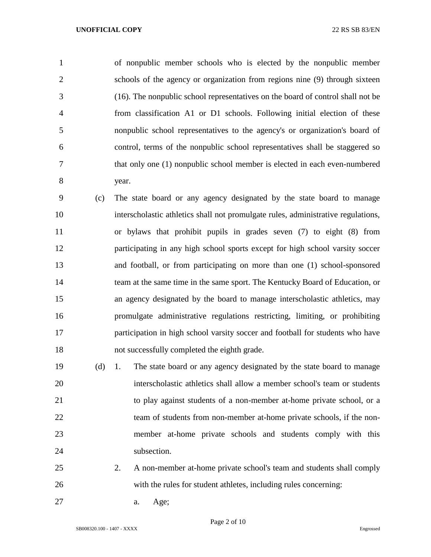of nonpublic member schools who is elected by the nonpublic member schools of the agency or organization from regions nine (9) through sixteen (16). The nonpublic school representatives on the board of control shall not be from classification A1 or D1 schools. Following initial election of these nonpublic school representatives to the agency's or organization's board of control, terms of the nonpublic school representatives shall be staggered so that only one (1) nonpublic school member is elected in each even-numbered year.

 (c) The state board or any agency designated by the state board to manage interscholastic athletics shall not promulgate rules, administrative regulations, or bylaws that prohibit pupils in grades seven (7) to eight (8) from participating in any high school sports except for high school varsity soccer and football, or from participating on more than one (1) school-sponsored team at the same time in the same sport. The Kentucky Board of Education, or an agency designated by the board to manage interscholastic athletics, may promulgate administrative regulations restricting, limiting, or prohibiting participation in high school varsity soccer and football for students who have not successfully completed the eighth grade.

 (d) 1. The state board or any agency designated by the state board to manage interscholastic athletics shall allow a member school's team or students to play against students of a non-member at-home private school, or a 22 team of students from non-member at-home private schools, if the non- member at-home private schools and students comply with this 24 subsection.

- 2. A non-member at-home private school's team and students shall comply with the rules for student athletes, including rules concerning:
- a. Age;

Page 2 of 10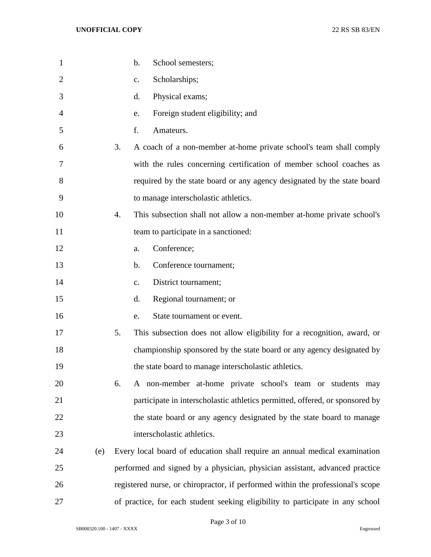| $\mathbf{1}$ |     | b.<br>School semesters;                                                         |
|--------------|-----|---------------------------------------------------------------------------------|
| 2            |     | Scholarships;<br>c.                                                             |
| 3            |     | Physical exams;<br>d.                                                           |
| 4            |     | Foreign student eligibility; and<br>e.                                          |
| 5            |     | f.<br>Amateurs.                                                                 |
| 6            |     | 3.<br>A coach of a non-member at-home private school's team shall comply        |
| 7            |     | with the rules concerning certification of member school coaches as             |
| 8            |     | required by the state board or any agency designated by the state board         |
| 9            |     | to manage interscholastic athletics.                                            |
| 10           |     | This subsection shall not allow a non-member at-home private school's<br>4.     |
| 11           |     | team to participate in a sanctioned:                                            |
| 12           |     | Conference;<br>a.                                                               |
| 13           |     | Conference tournament;<br>b.                                                    |
| 14           |     | District tournament;<br>$\mathbf{c}$ .                                          |
| 15           |     | Regional tournament; or<br>d.                                                   |
| 16           |     | State tournament or event.<br>e.                                                |
| 17           |     | 5.<br>This subsection does not allow eligibility for a recognition, award, or   |
| 18           |     | championship sponsored by the state board or any agency designated by           |
| 19           |     | the state board to manage interscholastic athletics.                            |
| 20           |     | A non-member at-home private school's team or students may<br>6.                |
| 21           |     | participate in interscholastic athletics permitted, offered, or sponsored by    |
| 22           |     | the state board or any agency designated by the state board to manage           |
| 23           |     | interscholastic athletics.                                                      |
| 24           | (e) | Every local board of education shall require an annual medical examination      |
| 25           |     | performed and signed by a physician, physician assistant, advanced practice     |
| 26           |     | registered nurse, or chiropractor, if performed within the professional's scope |
| 27           |     | of practice, for each student seeking eligibility to participate in any school  |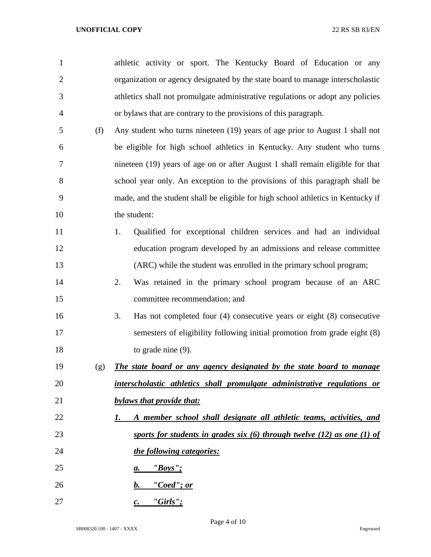| $\mathbf{1}$   |     | athletic activity or sport. The Kentucky Board of Education or any               |
|----------------|-----|----------------------------------------------------------------------------------|
| $\overline{2}$ |     | organization or agency designated by the state board to manage interscholastic   |
| 3              |     | athletics shall not promulgate administrative regulations or adopt any policies  |
| 4              |     | or bylaws that are contrary to the provisions of this paragraph.                 |
| 5              | (f) | Any student who turns nineteen (19) years of age prior to August 1 shall not     |
| 6              |     | be eligible for high school athletics in Kentucky. Any student who turns         |
| 7              |     | nineteen (19) years of age on or after August 1 shall remain eligible for that   |
| 8              |     | school year only. An exception to the provisions of this paragraph shall be      |
| 9              |     | made, and the student shall be eligible for high school athletics in Kentucky if |
| 10             |     | the student:                                                                     |
| 11             |     | Qualified for exceptional children services and had an individual<br>1.          |
| 12             |     | education program developed by an admissions and release committee               |
| 13             |     | (ARC) while the student was enrolled in the primary school program;              |
| 14             |     | 2.<br>Was retained in the primary school program because of an ARC               |
| 15             |     | committee recommendation; and                                                    |
| 16             |     | Has not completed four $(4)$ consecutive years or eight $(8)$ consecutive<br>3.  |
| 17             |     | semesters of eligibility following initial promotion from grade eight (8)        |
| 18             |     | to grade nine $(9)$ .                                                            |
| 19             | (g) | The state board or any agency designated by the state board to manage            |
| 20             |     | interscholastic athletics shall promulgate administrative regulations or         |
| 21             |     | bylaws that provide that:                                                        |
| 22             |     | A member school shall designate all athletic teams, activities, and<br>I.        |
| 23             |     | sports for students in grades six $(6)$ through twelve $(12)$ as one $(1)$ of    |
| 24             |     | the following categories:                                                        |
| 25             |     | $"Boys"$ ;<br>а.                                                                 |
| 26             |     | <u>"Coed"; or</u><br>$\bm{b}$ .                                                  |
| 27             |     | $"Girls"$ ;<br>$\mathcal{C}$ .                                                   |

Page 4 of 10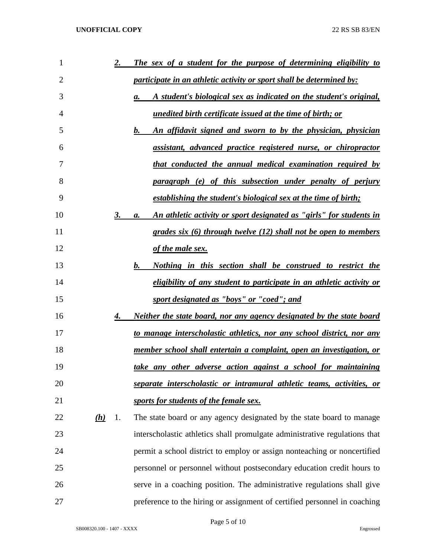| 1              |                        | <u>2.</u> | The sex of a student for the purpose of determining eligibility to           |
|----------------|------------------------|-----------|------------------------------------------------------------------------------|
| $\overline{2}$ |                        |           | <i>participate in an athletic activity or sport shall be determined by:</i>  |
| 3              |                        |           | A student's biological sex as indicated on the student's original,<br>a.     |
| 4              |                        |           | <u>unedited birth certificate issued at the time of birth; or</u>            |
| 5              |                        |           | An affidavit signed and sworn to by the physician, physician<br>b.           |
| 6              |                        |           | assistant, advanced practice registered nurse, or chiropractor               |
| 7              |                        |           | <u>that conducted the annual medical examination required by</u>             |
| 8              |                        |           | paragraph (e) of this subsection under penalty of perjury                    |
| 9              |                        |           | establishing the student's biological sex at the time of birth;              |
| 10             |                        | 3.        | An athletic activity or sport designated as "girls" for students in<br>а.    |
| 11             |                        |           | grades six (6) through twelve (12) shall not be open to members              |
| 12             |                        |           | of the male sex.                                                             |
| 13             |                        |           | <u>Nothing in this section shall be construed to restrict the</u><br>b.      |
| 14             |                        |           | eligibility of any student to participate in an athletic activity or         |
| 15             |                        |           | sport designated as "boys" or "coed"; and                                    |
| 16             |                        | 4.        | <u>Neither the state board, nor any agency designated by the state board</u> |
| 17             |                        |           | to manage interscholastic athletics, nor any school district, nor any        |
| 18             |                        |           | member school shall entertain a complaint, open an investigation, or         |
| 19             |                        |           | <u>take any other adverse action against a school for maintaining</u>        |
| 20             |                        |           | separate interscholastic or intramural athletic teams, activities, or        |
| 21             |                        |           | sports for students of the female sex.                                       |
| 22             | $\underline{(\bm{h})}$ | 1.        | The state board or any agency designated by the state board to manage        |
| 23             |                        |           | interscholastic athletics shall promulgate administrative regulations that   |
| 24             |                        |           | permit a school district to employ or assign nonteaching or noncertified     |
| 25             |                        |           | personnel or personnel without postsecondary education credit hours to       |
| 26             |                        |           | serve in a coaching position. The administrative regulations shall give      |
| 27             |                        |           | preference to the hiring or assignment of certified personnel in coaching    |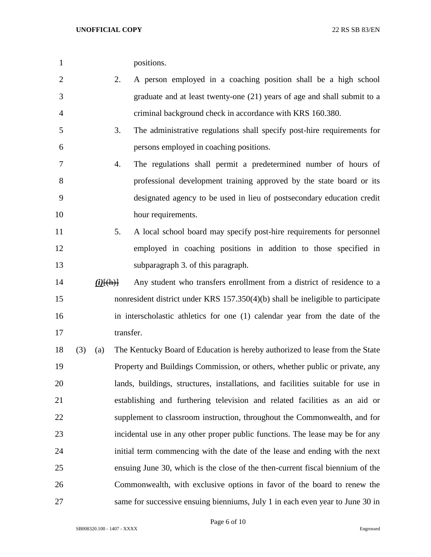| positions. |
|------------|
|            |

- 2. A person employed in a coaching position shall be a high school graduate and at least twenty-one (21) years of age and shall submit to a criminal background check in accordance with KRS 160.380.
- 3. The administrative regulations shall specify post-hire requirements for persons employed in coaching positions.
- 4. The regulations shall permit a predetermined number of hours of professional development training approved by the state board or its designated agency to be used in lieu of postsecondary education credit 10 hour requirements.
- 5. A local school board may specify post-hire requirements for personnel employed in coaching positions in addition to those specified in subparagraph 3. of this paragraph.
- *(i)*[(h)] Any student who transfers enrollment from a district of residence to a nonresident district under KRS 157.350(4)(b) shall be ineligible to participate in interscholastic athletics for one (1) calendar year from the date of the 17 transfer.
- (3) (a) The Kentucky Board of Education is hereby authorized to lease from the State Property and Buildings Commission, or others, whether public or private, any lands, buildings, structures, installations, and facilities suitable for use in establishing and furthering television and related facilities as an aid or supplement to classroom instruction, throughout the Commonwealth, and for incidental use in any other proper public functions. The lease may be for any initial term commencing with the date of the lease and ending with the next ensuing June 30, which is the close of the then-current fiscal biennium of the Commonwealth, with exclusive options in favor of the board to renew the same for successive ensuing bienniums, July 1 in each even year to June 30 in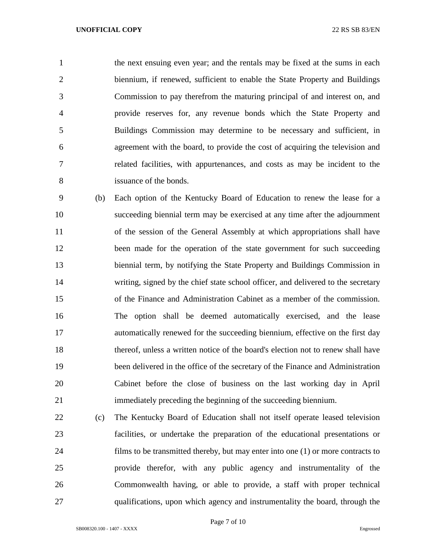the next ensuing even year; and the rentals may be fixed at the sums in each biennium, if renewed, sufficient to enable the State Property and Buildings Commission to pay therefrom the maturing principal of and interest on, and provide reserves for, any revenue bonds which the State Property and Buildings Commission may determine to be necessary and sufficient, in agreement with the board, to provide the cost of acquiring the television and related facilities, with appurtenances, and costs as may be incident to the issuance of the bonds.

 (b) Each option of the Kentucky Board of Education to renew the lease for a succeeding biennial term may be exercised at any time after the adjournment of the session of the General Assembly at which appropriations shall have 12 been made for the operation of the state government for such succeeding biennial term, by notifying the State Property and Buildings Commission in writing, signed by the chief state school officer, and delivered to the secretary of the Finance and Administration Cabinet as a member of the commission. The option shall be deemed automatically exercised, and the lease automatically renewed for the succeeding biennium, effective on the first day thereof, unless a written notice of the board's election not to renew shall have been delivered in the office of the secretary of the Finance and Administration Cabinet before the close of business on the last working day in April immediately preceding the beginning of the succeeding biennium.

 (c) The Kentucky Board of Education shall not itself operate leased television facilities, or undertake the preparation of the educational presentations or films to be transmitted thereby, but may enter into one (1) or more contracts to provide therefor, with any public agency and instrumentality of the Commonwealth having, or able to provide, a staff with proper technical qualifications, upon which agency and instrumentality the board, through the

Page 7 of 10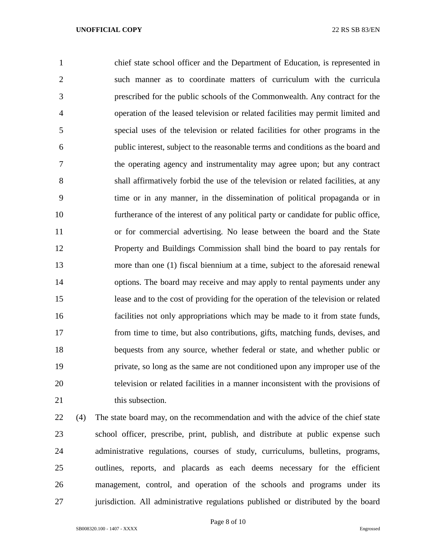chief state school officer and the Department of Education, is represented in such manner as to coordinate matters of curriculum with the curricula prescribed for the public schools of the Commonwealth. Any contract for the operation of the leased television or related facilities may permit limited and special uses of the television or related facilities for other programs in the public interest, subject to the reasonable terms and conditions as the board and the operating agency and instrumentality may agree upon; but any contract shall affirmatively forbid the use of the television or related facilities, at any time or in any manner, in the dissemination of political propaganda or in furtherance of the interest of any political party or candidate for public office, or for commercial advertising. No lease between the board and the State Property and Buildings Commission shall bind the board to pay rentals for more than one (1) fiscal biennium at a time, subject to the aforesaid renewal options. The board may receive and may apply to rental payments under any lease and to the cost of providing for the operation of the television or related facilities not only appropriations which may be made to it from state funds, from time to time, but also contributions, gifts, matching funds, devises, and bequests from any source, whether federal or state, and whether public or private, so long as the same are not conditioned upon any improper use of the television or related facilities in a manner inconsistent with the provisions of 21 this subsection.

 (4) The state board may, on the recommendation and with the advice of the chief state school officer, prescribe, print, publish, and distribute at public expense such administrative regulations, courses of study, curriculums, bulletins, programs, outlines, reports, and placards as each deems necessary for the efficient management, control, and operation of the schools and programs under its jurisdiction. All administrative regulations published or distributed by the board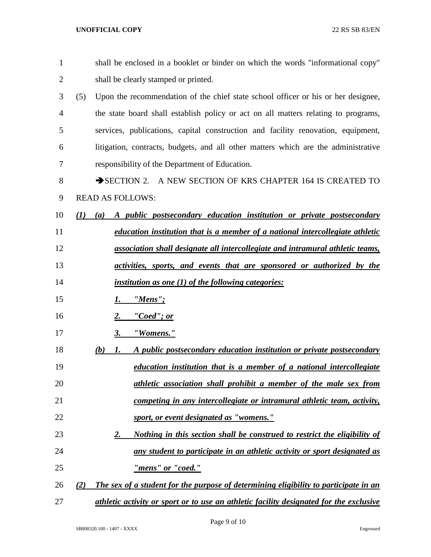| $\mathbf{1}$   | shall be enclosed in a booklet or binder on which the words "informational copy"            |
|----------------|---------------------------------------------------------------------------------------------|
| $\overline{2}$ | shall be clearly stamped or printed.                                                        |
| 3              | (5)<br>Upon the recommendation of the chief state school officer or his or her designee,    |
| 4              | the state board shall establish policy or act on all matters relating to programs,          |
| 5              | services, publications, capital construction and facility renovation, equipment,            |
| 6              | litigation, contracts, budgets, and all other matters which are the administrative          |
| 7              | responsibility of the Department of Education.                                              |
| 8              | SECTION 2. A NEW SECTION OF KRS CHAPTER 164 IS CREATED TO                                   |
| 9              | <b>READ AS FOLLOWS:</b>                                                                     |
| 10             | A public postsecondary education institution or private postsecondary<br>(I)<br>(a)         |
| 11             | education institution that is a member of a national intercollegiate athletic               |
| 12             | association shall designate all intercollegiate and intramural athletic teams,              |
| 13             | activities, sports, and events that are sponsored or authorized by the                      |
| 14             | <i>institution as one (1) of the following categories:</i>                                  |
| 15             | "Mens";<br>1.                                                                               |
| 16             | "Coed"; or<br>2.                                                                            |
| 17             | "Womens."<br>3.                                                                             |
| 18             | A public postsecondary education institution or private postsecondary<br>(b)<br>1.          |
| 19             | education institution that is a member of a national intercollegiate                        |
| 20             | athletic association shall prohibit a member of the male sex from                           |
| 21             | competing in any intercollegiate or intramural athletic team, activity,                     |
| 22             | sport, or event designated as "womens."                                                     |
| 23             | Nothing in this section shall be construed to restrict the eligibility of<br>2.             |
| 24             | any student to participate in an athletic activity or sport designated as                   |
| 25             | "mens" or "coed."                                                                           |
| 26             | The sex of a student for the purpose of determining eligibility to participate in an<br>(2) |
| 27             | athletic activity or sport or to use an athletic facility designated for the exclusive      |